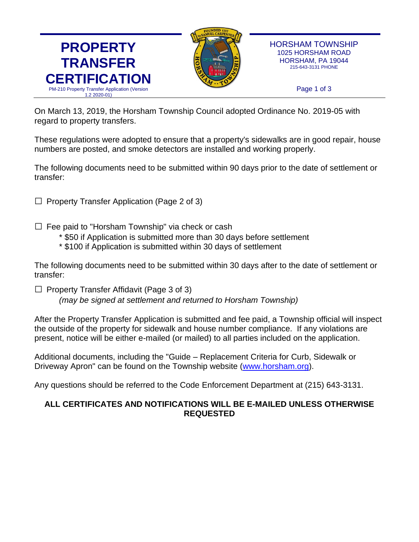



HORSHAM TOWNSHIP 1025 HORSHAM ROAD HORSHAM, PA 19044 215-643-3131 PHONE

Page 1 of 3

On March 13, 2019, the Horsham Township Council adopted Ordinance No. 2019-05 with regard to property transfers.

These regulations were adopted to ensure that a property's sidewalks are in good repair, house numbers are posted, and smoke detectors are installed and working properly.

The following documents need to be submitted within 90 days prior to the date of settlement or transfer:

 $\Box$  Property Transfer Application (Page 2 of 3)

- $\square$  Fee paid to "Horsham Township" via check or cash
	- \* \$50 if Application is submitted more than 30 days before settlement
	- \* \$100 if Application is submitted within 30 days of settlement

The following documents need to be submitted within 30 days after to the date of settlement or transfer:

 $\Box$  Property Transfer Affidavit (Page 3 of 3)

*(may be signed at settlement and returned to Horsham Township)*

After the Property Transfer Application is submitted and fee paid, a Township official will inspect the outside of the property for sidewalk and house number compliance. If any violations are present, notice will be either e-mailed (or mailed) to all parties included on the application.

Additional documents, including the "Guide – Replacement Criteria for Curb, Sidewalk or Driveway Apron" can be found on the Township website [\(www.horsham.org\)](http://www.horsham.org/).

Any questions should be referred to the Code Enforcement Department at (215) 643-3131.

## **ALL CERTIFICATES AND NOTIFICATIONS WILL BE E-MAILED UNLESS OTHERWISE REQUESTED**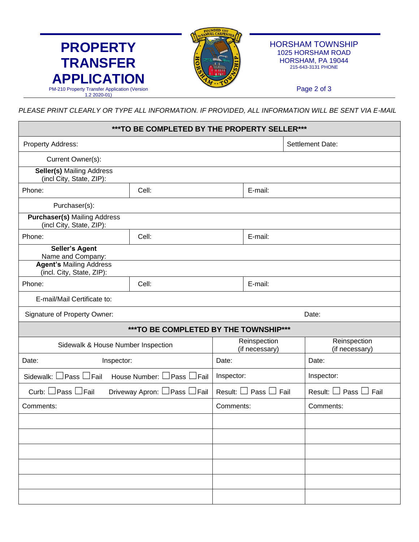

Г

HORSHAM TOWNSHIP 1025 HORSHAM ROAD HORSHAM, PA 19044 215-643-3131 PHONE

Page 2 of 3

*PLEASE PRINT CLEARLY OR TYPE ALL INFORMATION. IF PROVIDED, ALL INFORMATION WILL BE SENT VIA E-MAIL*

|                                                                  | ***TO BE COMPLETED BY THE PROPERTY SELLER*** |                                    |                  |                                 |  |
|------------------------------------------------------------------|----------------------------------------------|------------------------------------|------------------|---------------------------------|--|
| Property Address:                                                |                                              |                                    | Settlement Date: |                                 |  |
| Current Owner(s):                                                |                                              |                                    |                  |                                 |  |
| <b>Seller(s) Mailing Address</b><br>(incl City, State, ZIP):     |                                              |                                    |                  |                                 |  |
| Cell:<br>Phone:                                                  |                                              | E-mail:                            |                  |                                 |  |
| Purchaser(s):                                                    |                                              |                                    |                  |                                 |  |
| <b>Purchaser(s)</b> Mailing Address<br>(incl City, State, ZIP):  |                                              |                                    |                  |                                 |  |
| Phone:                                                           | Cell:                                        |                                    | E-mail:          |                                 |  |
| <b>Seller's Agent</b><br>Name and Company:                       |                                              |                                    |                  |                                 |  |
| <b>Agent's Mailing Address</b><br>(incl. City, State, ZIP):      |                                              |                                    |                  |                                 |  |
| Phone:                                                           | Cell:                                        |                                    | E-mail:          |                                 |  |
| E-mail/Mail Certificate to:                                      |                                              |                                    |                  |                                 |  |
| Signature of Property Owner:                                     |                                              |                                    | Date:            |                                 |  |
|                                                                  | *** TO BE COMPLETED BY THE TOWNSHIP***       |                                    |                  |                                 |  |
| Sidewalk & House Number Inspection                               |                                              | Reinspection<br>(if necessary)     |                  | Reinspection<br>(if necessary)  |  |
| Date:<br>Inspector:                                              |                                              | Date:                              |                  | Date:                           |  |
| House Number: $\Box$ Pass $\Box$ Fail<br>Sidewalk: □ Pass □ Fail |                                              | Inspector:                         |                  | Inspector:                      |  |
| Curb: □ Pass □ Fail<br>Driveway Apron: □ Pass □ Fail             |                                              | Result: $\Box$ Pass $\Box$<br>Fail |                  | Result: $\Box$ Pass $\Box$ Fail |  |
| Comments:                                                        |                                              | Comments:                          |                  | Comments:                       |  |
|                                                                  |                                              |                                    |                  |                                 |  |
|                                                                  |                                              |                                    |                  |                                 |  |
|                                                                  |                                              |                                    |                  |                                 |  |
|                                                                  |                                              |                                    |                  |                                 |  |
|                                                                  |                                              |                                    |                  |                                 |  |
|                                                                  |                                              |                                    |                  |                                 |  |